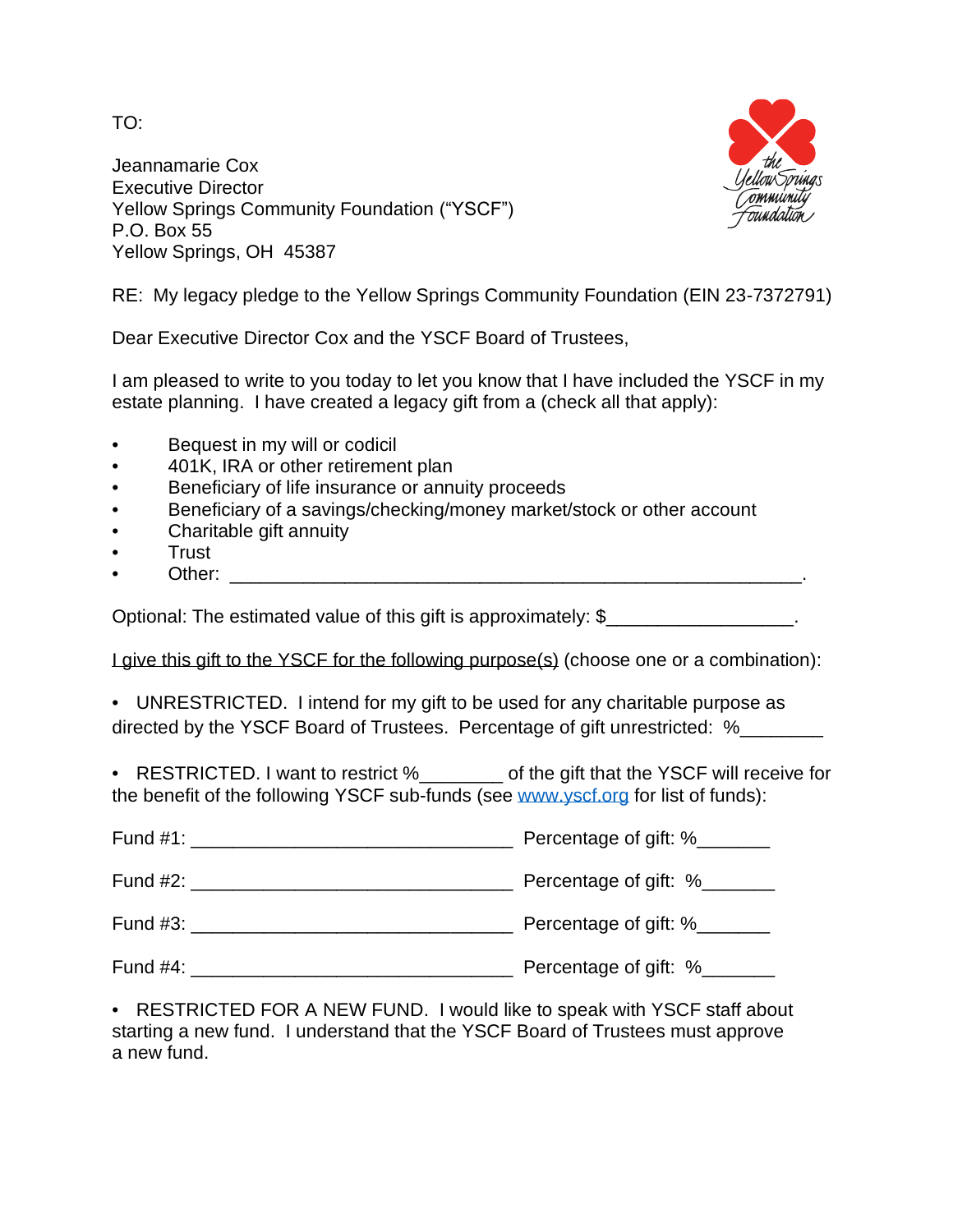TO:

Jeannamarie Cox Executive Director Yellow Springs Community Foundation ("YSCF") P.O. Box 55 Yellow Springs, OH 45387



RE: My legacy pledge to the Yellow Springs Community Foundation (EIN 23-7372791)

Dear Executive Director Cox and the YSCF Board of Trustees,

I am pleased to write to you today to let you know that I have included the YSCF in my estate planning. I have created a legacy gift from a (check all that apply):

- Bequest in my will or codicil
- 401K, IRA or other retirement plan
- Beneficiary of life insurance or annuity proceeds
- Beneficiary of a savings/checking/money market/stock or other account
- Charitable gift annuity
- Trust
- Other:  $\Box$

Optional: The estimated value of this gift is approximately: \$\_\_\_\_\_\_\_\_\_\_\_\_\_\_\_\_\_\_.

I give this gift to the YSCF for the following purpose(s) (choose one or a combination):

• UNRESTRICTED. I intend for my gift to be used for any charitable purpose as directed by the YSCF Board of Trustees. Percentage of gift unrestricted: %

• RESTRICTED. I want to restrict %\_\_\_\_\_\_\_\_ of the gift that the YSCF will receive for the benefit of the following YSCF sub-funds (see [www.yscf.org](http://www.yscf.org/) for list of funds):

| Fund #1: The contract of the contract of the contract of the contract of the contract of the contract of the contract of the contract of the contract of the contract of the contract of the contract of the contract of the c | Percentage of gift: %         |
|--------------------------------------------------------------------------------------------------------------------------------------------------------------------------------------------------------------------------------|-------------------------------|
| Fund $#2:$                                                                                                                                                                                                                     | Percentage of gift: %________ |
| Fund #3:                                                                                                                                                                                                                       | Percentage of gift: %________ |
| Fund $#4$ :                                                                                                                                                                                                                    | Percentage of gift: %_____    |

• RESTRICTED FOR A NEW FUND. I would like to speak with YSCF staff about starting a new fund. I understand that the YSCF Board of Trustees must approve a new fund.